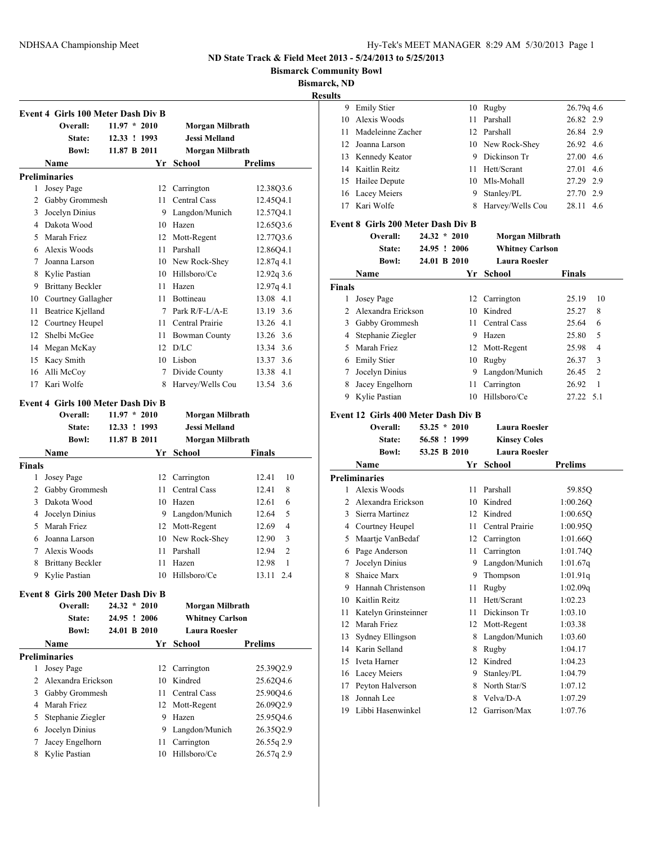**Bismarck Community Bowl**

**Bismarck, ND**

|               |                                           |                |                        |                | <b>Results</b> |
|---------------|-------------------------------------------|----------------|------------------------|----------------|----------------|
|               | Event 4 Girls 100 Meter Dash Div B        |                |                        |                |                |
|               | Overall:                                  | $11.97 * 2010$ | Morgan Milbrath        |                |                |
|               | <b>State:</b>                             | 12.33 ! 1993   | <b>Jessi Melland</b>   |                |                |
|               | <b>Bowl:</b>                              | 11.87 B 2011   | <b>Morgan Milbrath</b> |                |                |
|               | Name                                      |                | Yr School              | <b>Prelims</b> |                |
|               | <b>Preliminaries</b>                      |                |                        |                |                |
|               | 1 Josey Page                              |                | 12 Carrington          | 12.38Q3.6      |                |
|               | 2 Gabby Grommesh                          | 11             | Central Cass           | 12.45Q4.1      |                |
|               | 3 Jocelyn Dinius                          |                | 9 Langdon/Munich       | 12.5704.1      |                |
|               | 4 Dakota Wood                             |                | 10 Hazen               | 12.65Q3.6      |                |
|               | 5 Marah Friez                             |                | 12 Mott-Regent         | 12.77Q3.6      |                |
|               | 6 Alexis Woods                            | 11 -           | Parshall               | 12.86Q4.1      |                |
|               | 7 Joanna Larson                           |                | 10 New Rock-Shey       | 12.87q 4.1     |                |
|               | 8 Kylie Pastian                           |                | 10 Hillsboro/Ce        | 12.92q 3.6     |                |
|               | 9 Brittany Beckler                        |                | 11 Hazen               | 12.97q 4.1     |                |
|               | 10 Courtney Gallagher                     |                | 11 Bottineau           | 13.08 4.1      |                |
|               | 11 Beatrice Kjelland                      |                | 7 Park R/F-L/A-E       | 13.19 3.6      |                |
|               | 12 Courtney Heupel                        |                | 11 Central Prairie     | 13.26 4.1      |                |
|               | 12 Shelbi McGee                           |                | 11 Bowman County       | 13.26 3.6      |                |
|               | 14 Megan McKay                            |                | $12$ D/LC              | 13.34 3.6      |                |
|               | 15 Kacy Smith                             |                | 10 Lisbon              | 13.37 3.6      |                |
|               | 16 Alli McCoy                             | $7^{\circ}$    | Divide County          | 13.38 4.1      |                |
| 17            | Kari Wolfe                                | 8              | Harvey/Wells Cou       | 13.54 3.6      |                |
|               | <b>Event 4 Girls 100 Meter Dash Div B</b> |                |                        |                |                |
|               | Overall:                                  | $11.97 * 2010$ | Morgan Milbrath        |                |                |
|               | State:                                    | 12.33 ! 1993   | <b>Jessi Melland</b>   |                |                |
|               | <b>Bowl:</b>                              | 11.87 B 2011   | Morgan Milbrath        |                |                |
|               | Name                                      | Yr             | School                 | Finals         |                |
| <b>Finals</b> |                                           |                |                        |                |                |
|               | 1 Josey Page                              |                | 12 Carrington          | 10<br>12.41    |                |
|               | 2 Gabby Grommesh                          | 11             | Central Cass           | 12.41<br>8     |                |
|               | 3 Dakota Wood                             |                | 10 Hazen               | 12.61<br>6     |                |
|               | 4 Jocelyn Dinius                          |                | 9 Langdon/Munich       | 12.64<br>5     |                |
|               | 5 Marah Friez                             |                | 12 Mott-Regent         | 4<br>12.69     |                |
| 6             | Joanna Larson                             |                | 10 New Rock-Shey       | 3<br>12.90     |                |
| 7             | Alexis Woods                              | 11             | Parshall               | 2<br>12.94     |                |
| 8             | <b>Brittany Beckler</b>                   | 11             | Hazen                  | 1<br>12.98     |                |
|               | 9 Kylie Pastian                           | 10             | Hillsboro/Ce           | 13.11 2.4      |                |
|               |                                           |                |                        |                |                |
|               | <b>Event 8 Girls 200 Meter Dash Div B</b> |                |                        |                |                |
|               | Overall:                                  | $24.32 * 2010$ | Morgan Milbrath        |                |                |
|               | <b>State:</b>                             | 24.95 ! 2006   | <b>Whitney Carlson</b> |                |                |
|               | Bowl:                                     | 24.01 B 2010   | <b>Laura Roesler</b>   |                |                |
|               | <b>Name</b>                               | Yr             | School                 | <b>Prelims</b> |                |
|               | <b>Preliminaries</b>                      |                |                        |                |                |
| $\mathbf{1}$  | Josey Page                                | 12             | Carrington             | 25.39Q2.9      |                |
| $\mathbf{2}$  | Alexandra Erickson                        | 10             | Kindred                | 25.62Q4.6      |                |
|               | 3 Gabby Grommesh                          | 11             | Central Cass           | 25.90Q4.6      |                |
|               | 4 Marah Friez                             | 12             | Mott-Regent            | 26.09Q2.9      |                |
|               | 5 Stephanie Ziegler                       | 9              | Hazen                  | 25.95Q4.6      |                |
| 6             | Jocelyn Dinius                            | 9.             | Langdon/Munich         | 26.35Q2.9      |                |
| 7             | Jacey Engelhorn                           | 11             | Carrington             | 26.55q 2.9     |                |
| 8             | Kylie Pastian                             |                | 10 Hillsboro/Ce        | 26.57q 2.9     |                |
|               |                                           |                |                        |                |                |

| 9             | <b>Emily Stier</b>                         |                |     | 10 Rugby                                    | 26.79q 4.6              |
|---------------|--------------------------------------------|----------------|-----|---------------------------------------------|-------------------------|
|               | 10 Alexis Woods                            |                | 11  | Parshall                                    | 26.82 2.9               |
| 11            | Madeleinne Zacher                          |                |     | 12 Parshall                                 | 26.84 2.9               |
|               | 12 Joanna Larson                           |                |     | 10 New Rock-Shey                            | 26.92 4.6               |
|               | 13 Kennedy Keator                          |                |     | 9 Dickinson Tr                              | 27.00 4.6               |
|               | 14 Kaitlin Reitz                           |                | 11. | Hett/Scrant                                 | 27.01 4.6               |
|               | 15 Hailee Depute                           |                |     | 10 Mls-Mohall                               | 27.29 2.9               |
|               | 16 Lacey Meiers                            |                | 9.  | Stanley/PL                                  | 27.70 2.9               |
| 17            | Kari Wolfe                                 |                | 8   | Harvey/Wells Cou                            | 28.11 4.6               |
|               | <b>Event 8 Girls 200 Meter Dash Div B</b>  |                |     |                                             |                         |
|               | Overall:                                   | $24.32 * 2010$ |     | Morgan Milbrath                             |                         |
|               | State:                                     | 24.95 ! 2006   |     | <b>Whitney Carlson</b>                      |                         |
|               | <b>Bowl:</b>                               | 24.01 B 2010   |     | <b>Laura Roesler</b>                        |                         |
|               | Name                                       |                | Yr  | <b>School</b>                               | <b>Finals</b>           |
| <b>Finals</b> |                                            |                |     |                                             |                         |
| 1             | Josey Page                                 |                |     | 12 Carrington                               | 10<br>25.19             |
| 2             | Alexandra Erickson                         |                |     | 10 Kindred                                  | 25.27<br>8              |
|               | 3 Gabby Grommesh                           |                | 11. | <b>Central Cass</b>                         | 25.64<br>6              |
|               | 4 Stephanie Ziegler                        |                |     | 9 Hazen                                     | 5<br>25.80              |
| 5             | Marah Friez                                |                |     | 12 Mott-Regent                              | 4<br>25.98              |
|               | 6 Emily Stier                              |                |     | 10 Rugby                                    | 3<br>26.37              |
| 7             | Jocelyn Dinius                             |                | 9.  | Langdon/Munich                              | $\overline{c}$<br>26.45 |
| 8             | Jacey Engelhorn                            |                | 11  | Carrington                                  | 1<br>26.92              |
| 9             | Kylie Pastian                              |                |     | 10 Hillsboro/Ce                             | 27.22 5.1               |
|               | <b>Event 12 Girls 400 Meter Dash Div B</b> |                |     |                                             |                         |
|               |                                            |                |     |                                             |                         |
|               | Overall:                                   | $53.25 * 2010$ |     | <b>Laura Roesler</b>                        |                         |
|               | State:                                     | 56.58 ! 1999   |     |                                             |                         |
|               | <b>Bowl:</b>                               | 53.25 B 2010   |     | <b>Kinsey Coles</b><br><b>Laura Roesler</b> |                         |
|               | Name                                       |                | Yr  | <b>School</b>                               | Prelims                 |
|               | <b>Preliminaries</b>                       |                |     |                                             |                         |
|               | 1 Alexis Woods                             |                | 11. | Parshall                                    | 59.85Q                  |
| 2             | Alexandra Erickson                         |                |     | 10 Kindred                                  | 1:00.26Q                |
| 3             | Sierra Martinez                            |                |     | 12 Kindred                                  | 1:00.65Q                |
|               | 4 Courtney Heupel                          |                | 11  | Central Prairie                             | 1:00.95Q                |
| 5             | Maartje VanBedaf                           |                |     | 12 Carrington                               | 1:01.66Q                |
| 6             | Page Anderson                              |                | 11  | Carrington                                  | 1:01.74Q                |
| 7             | Jocelyn Dinius                             |                | 9.  | Langdon/Munich                              | 1:01.67q                |
| 8             | Shaice Marx                                |                | 9   | Thompson                                    | 1:01.91q                |
| 9             | Hannah Christenson                         |                |     | 11 Rugby                                    | 1:02.09q                |
|               | 10 Kaitlin Reitz                           |                | 11  | Hett/Scrant                                 | 1:02.23                 |
| 11            | Katelyn Grinsteinner                       |                | 11  | Dickinson Tr                                | 1:03.10                 |
| 12            | Marah Friez                                |                |     | 12 Mott-Regent                              | 1:03.38                 |
| 13            | Sydney Ellingson                           |                | 8   | Langdon/Munich                              | 1:03.60                 |
| 14            | Karin Selland                              |                | 8   | Rugby                                       | 1:04.17                 |
| 15            | Iveta Harner                               |                | 12  | Kindred                                     | 1:04.23                 |
| 16            | Lacey Meiers                               |                | 9   | Stanley/PL                                  | 1:04.79                 |
| 17            | Peyton Halverson                           |                | 8   | North Star/S                                | 1:07.12                 |
| 18            | Jonnah Lee                                 |                |     | 8 Velva/D-A                                 | 1:07.29                 |
| 19            | Libbi Hasenwinkel                          |                | 12  | Garrison/Max                                | 1:07.76                 |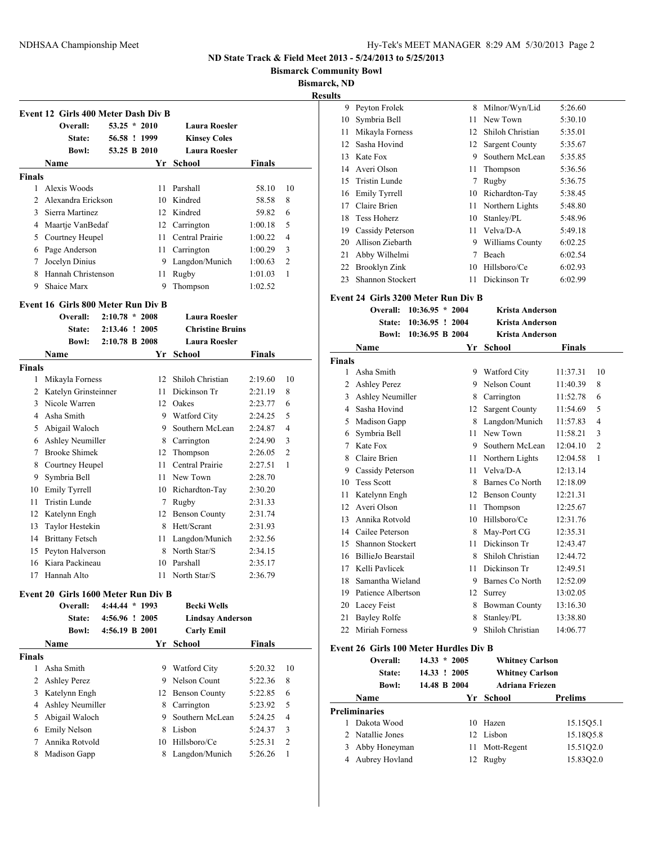**Bismarck Community Bowl**

**Bismarck, ND**

| <b>Results</b> |  |
|----------------|--|
|                |  |

|               | Overall:           | $53.25 * 2010$ | <b>Laura Roesler</b> |         |                |
|---------------|--------------------|----------------|----------------------|---------|----------------|
|               | State:             | 56.58 ! 1999   | <b>Kinsey Coles</b>  |         |                |
|               | <b>Bowl:</b>       | 53.25 B 2010   | <b>Laura Roesler</b> |         |                |
|               | Name               | Yr             | School               | Finals  |                |
| <b>Finals</b> |                    |                |                      |         |                |
|               | Alexis Woods       | 11             | Parshall             | 58.10   | 10             |
|               | Alexandra Erickson | 10.            | Kindred              | 58.58   | 8              |
| 3             | Sierra Martinez    |                | 12 Kindred           | 59.82   | 6              |
| 4             | Maartje VanBedaf   | 12             | Carrington           | 1:00.18 | 5              |
| 5             | Courtney Heupel    | 11             | Central Prairie      | 1:00.22 | $\overline{4}$ |
| 6             | Page Anderson      | 11.            | Carrington           | 1:00.29 | 3              |
|               | Jocelyn Dinius     | 9              | Langdon/Munich       | 1:00.63 | $\mathfrak{D}$ |
| 8             | Hannah Christenson | 11             | Rugby                | 1:01.03 | 1              |
| 9             | Shaice Marx        | 9              | Thompson             | 1:02.52 |                |

### **Event 16 Girls 800 Meter Run Div B**

|        | Overall:                | $2:10.78 * 2008$ |    | <b>Laura Roesler</b>    |         |                |
|--------|-------------------------|------------------|----|-------------------------|---------|----------------|
|        | State:                  | 2:13.46 ! 2005   |    | <b>Christine Bruins</b> |         |                |
|        | <b>Bowl:</b>            | 2:10.78 B 2008   |    | <b>Laura Roesler</b>    |         |                |
|        | Name                    |                  | Yr | School                  | Finals  |                |
| Finals |                         |                  |    |                         |         |                |
| 1      | Mikayla Forness         |                  | 12 | Shiloh Christian        | 2:19.60 | 10             |
| 2      | Katelyn Grinsteinner    |                  | 11 | Dickinson Tr            | 2:21.19 | 8              |
| 3      | Nicole Warren           |                  | 12 | Oakes                   | 2:23.77 | 6              |
| 4      | Asha Smith              |                  | 9  | <b>Watford City</b>     | 2:24.25 | 5              |
| 5      | Abigail Waloch          |                  | 9  | Southern McLean         | 2:24.87 | 4              |
| 6      | <b>Ashley Neumiller</b> |                  | 8  | Carrington              | 2:24.90 | 3              |
| 7      | <b>Brooke Shimek</b>    |                  | 12 | Thompson                | 2:26.05 | $\overline{2}$ |
| 8      | Courtney Heupel         |                  | 11 | Central Prairie         | 2:27.51 | 1              |
| 9      | Symbria Bell            |                  | 11 | New Town                | 2:28.70 |                |
| 10     | Emily Tyrrell           |                  | 10 | Richardton-Tay          | 2:30.20 |                |
| 11     | Tristin Lunde           |                  | 7  | Rugby                   | 2:31.33 |                |
| 12     | Katelynn Engh           |                  | 12 | <b>Benson County</b>    | 2:31.74 |                |
| 13     | Taylor Hestekin         |                  | 8  | Hett/Scrant             | 2:31.93 |                |
| 14     | <b>Brittany Fetsch</b>  |                  | 11 | Langdon/Munich          | 2:32.56 |                |
| 15     | Peyton Halverson        |                  | 8  | North Star/S            | 2:34.15 |                |
| 16     | Kiara Packineau         |                  | 10 | Parshall                | 2:35.17 |                |
| 17     | Hannah Alto             |                  | 11 | North Star/S            | 2:36.79 |                |
|        |                         |                  |    |                         |         |                |

### **Event 20 Girls 1600 Meter Run Div B**

|        | Overall:            | $4:44.44*1993$ | <b>Becki Wells</b>      |               |                |
|--------|---------------------|----------------|-------------------------|---------------|----------------|
|        | State:              | 4:56.96 ! 2005 | <b>Lindsay Anderson</b> |               |                |
|        | <b>Bowl:</b>        | 4:56.19 B 2001 | <b>Carly Emil</b>       |               |                |
|        | Name                | Yr.            | School                  | <b>Finals</b> |                |
| Finals |                     |                |                         |               |                |
|        | Asha Smith          | 9              | <b>Watford City</b>     | 5:20.32       | 10             |
| 2      | <b>Ashley Perez</b> | 9              | Nelson Count            | 5:22.36       | 8              |
| 3      | Katelynn Engh       |                | 12 Benson County        | 5:22.85       | 6              |
| 4      | Ashley Neumiller    | 8              | Carrington              | 5:23.92       | 5              |
| 5      | Abigail Waloch      | 9              | Southern McLean         | 5:24.25       | $\overline{4}$ |
| 6      | Emily Nelson        | 8              | Lisbon                  | 5:24.37       | 3              |
| 7      | Annika Rotvold      | 10             | Hillsboro/Ce            | 5:25.31       | $\overline{2}$ |
| 8      | Madison Gapp        | 8              | Langdon/Munich          | 5:26.26       |                |

| 9              | Peyton Frolek                       | 8      | Milnor/Wyn/Lid       | 5:26.60  |                |
|----------------|-------------------------------------|--------|----------------------|----------|----------------|
| 10             | Symbria Bell                        | $11 -$ | New Town             | 5:30.10  |                |
| 11             | Mikayla Forness                     |        | 12 Shiloh Christian  | 5:35.01  |                |
| 12             | Sasha Hovind                        |        | 12 Sargent County    | 5:35.67  |                |
| 13             | Kate Fox                            |        | 9 Southern McLean    | 5:35.85  |                |
| 14             | Averi Olson                         |        | 11 Thompson          | 5:36.56  |                |
| 15             | Tristin Lunde                       |        | 7 Rugby              | 5:36.75  |                |
| 16             | Emily Tyrrell                       |        | 10 Richardton-Tay    | 5:38.45  |                |
| 17             | Claire Brien                        |        | 11 Northern Lights   | 5:48.80  |                |
| 18             | Tess Hoherz                         |        | 10 Stanley/PL        | 5:48.96  |                |
| 19             | <b>Cassidy Peterson</b>             |        | 11 Velva/D-A         | 5:49.18  |                |
| 20             | Allison Ziebarth                    |        | 9 Williams County    | 6:02.25  |                |
| 21             | Abby Wilhelmi                       |        | 7 Beach              | 6:02.54  |                |
| 22             | Brooklyn Zink                       |        | 10 Hillsboro/Ce      | 6:02.93  |                |
| 23             | <b>Shannon Stockert</b>             | $11 -$ | Dickinson Tr         | 6:02.99  |                |
|                | Event 24 Girls 3200 Meter Run Div B |        |                      |          |                |
|                | Overall: 10:36.95 * 2004            |        | Krista Anderson      |          |                |
|                | <b>State:</b><br>10:36.95 ! 2004    |        | Krista Anderson      |          |                |
|                | 10:36.95 B 2004<br><b>Bowl:</b>     |        | Krista Anderson      |          |                |
|                | Name                                |        | Yr School            | Finals   |                |
| Finals         |                                     |        |                      |          |                |
| 1              | Asha Smith                          |        | 9 Watford City       | 11:37.31 | 10             |
| $\overline{c}$ | <b>Ashley Perez</b>                 |        | 9 Nelson Count       | 11:40.39 | 8              |
| 3              | Ashley Neumiller                    |        | 8 Carrington         | 11:52.78 | 6              |
| $\overline{4}$ | Sasha Hovind                        |        | 12 Sargent County    | 11:54.69 | 5              |
|                | 5 Madison Gapp                      |        | 8 Langdon/Munich     | 11:57.83 | $\overline{4}$ |
| 6              | Symbria Bell                        | 11     | New Town             | 11:58.21 | 3              |
| 7              | Kate Fox                            |        | 9 Southern McLean    | 12:04.10 | $\overline{2}$ |
| 8              | Claire Brien                        |        | 11 Northern Lights   | 12:04.58 | 1              |
| 9              | Cassidy Peterson                    |        | 11 Velva/D-A         | 12:13.14 |                |
| 10             | <b>Tess Scott</b>                   | 8      | Barnes Co North      | 12:18.09 |                |
| 11             | Katelynn Engh                       |        | 12 Benson County     | 12:21.31 |                |
| 12             | Averi Olson                         | 11     | Thompson             | 12:25.67 |                |
| 13             | Annika Rotvold                      |        | 10 Hillsboro/Ce      | 12:31.76 |                |
|                | 14 Cailee Peterson                  |        | 8 May-Port CG        | 12:35.31 |                |
| 15             | <b>Shannon Stockert</b>             | 11     | Dickinson Tr         | 12:43.47 |                |
| 16             | BillieJo Bearstail                  |        | 8 Shiloh Christian   | 12:44.72 |                |
| 17             | Kelli Pavlicek                      | 11     | Dickinson Tr         | 12:49.51 |                |
| 18             |                                     |        |                      |          |                |
|                | Samantha Wieland                    |        | 9 Barnes Co North    | 12:52.09 |                |
| 19             | Patience Albertson                  |        | 12 Surrey            | 13:02.05 |                |
| 20             | Lacey Feist                         | 8      | <b>Bowman County</b> | 13:16.30 |                |

#### **Event 26 Girls 100 Meter Hurdles Div B**

|   | Overall:         | $14.33 * 2005$ |    | <b>Whitney Carlson</b> |           |
|---|------------------|----------------|----|------------------------|-----------|
|   | State:           | 14.33 ! 2005   |    | <b>Whitney Carlson</b> |           |
|   | <b>Bowl:</b>     | 14.48 B 2004   |    | <b>Adriana Friezen</b> |           |
|   | Name             |                | Yr | School                 | Prelims   |
|   | Preliminaries    |                |    |                        |           |
|   | Dakota Wood      |                | 10 | Hazen                  | 15.1505.1 |
|   | 2 Natallie Jones |                |    | 12 Lisbon              | 15.1805.8 |
|   | Abby Honeyman    |                |    | 11 Mott-Regent         | 15.5102.0 |
| 4 | Aubrey Hovland   |                |    | 12 Rugby               | 15.8302.0 |
|   |                  |                |    |                        |           |

Miriah Forness 9 Shiloh Christian 14:06.77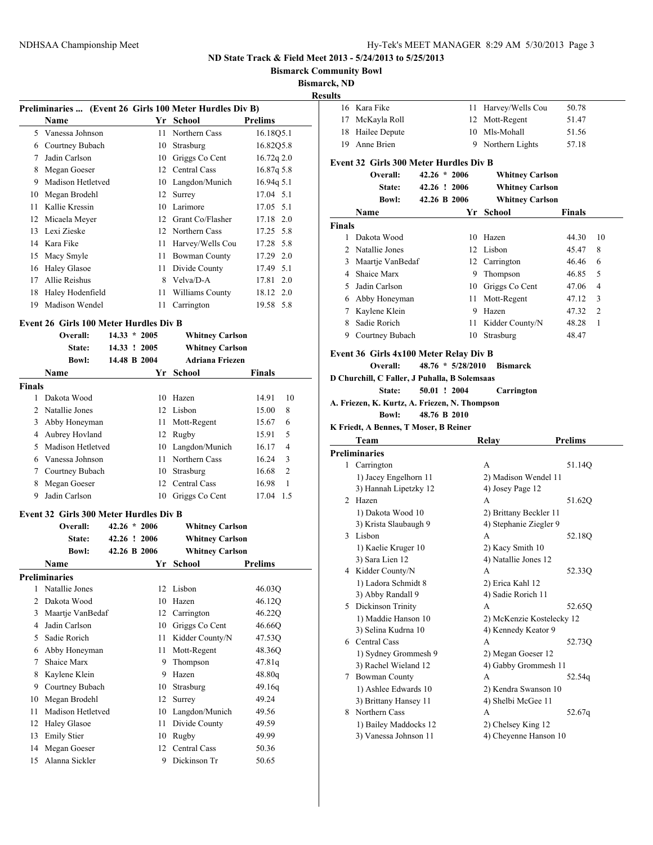**Bismarck Community Bowl**

**Bismarck, ND Res** 

| Yr School<br>Name | <b>Prelims</b> |
|-------------------|----------------|

| 5. | Vanessa Johnson     |     | 11 Northern Cass    | 16.18Q5.1  |  |
|----|---------------------|-----|---------------------|------------|--|
| 6  | Courtney Bubach     |     | 10 Strasburg        | 16.82Q5.8  |  |
| 7  | Jadin Carlson       |     | 10 Griggs Co Cent   | 16.72q 2.0 |  |
| 8  | Megan Goeser        |     | 12 Central Cass     | 16.87q 5.8 |  |
| 9  | Madison Hetletved   |     | 10 Langdon/Munich   | 16.94q 5.1 |  |
| 10 | Megan Brodehl       |     | 12 Surrey           | 17.04 5.1  |  |
| 11 | Kallie Kressin      |     | 10 Larimore         | 17.05 5.1  |  |
| 12 | Micaela Meyer       |     | 12 Grant Co/Flasher | 17.18 2.0  |  |
|    | 13 Lexi Zieske      |     | 12 Northern Cass    | 17.25 5.8  |  |
|    | 14 Kara Fike        |     | 11 Harvey/Wells Cou | 17.28 5.8  |  |
| 15 | Macy Smyle          | 11  | Bowman County       | 17.29 2.0  |  |
| 16 | <b>Haley Glasoe</b> | 11. | Divide County       | 17.49 5.1  |  |
| 17 | Allie Reishus       | 8   | Velva/D-A           | 17.81 2.0  |  |
| 18 | Haley Hodenfield    | 11  | Williams County     | 18.12 2.0  |  |
| 19 | Madison Wendel      | 11  | Carrington          | 19.58 5.8  |  |
|    |                     |     |                     |            |  |

## **Event 26 Girls 100 Meter Hurdles Div B**

|                | Overall:          | 14.33<br>$\star$ | 2005 | <b>Whitney Carlson</b> |               |                |
|----------------|-------------------|------------------|------|------------------------|---------------|----------------|
|                | State:            | 14.33 ! 2005     |      | <b>Whitney Carlson</b> |               |                |
|                | <b>Bowl:</b>      | 14.48 B 2004     |      | <b>Adriana Friezen</b> |               |                |
|                | Name              |                  | Yr   | School                 | <b>Finals</b> |                |
| <b>Finals</b>  |                   |                  |      |                        |               |                |
|                | Dakota Wood       |                  | 10   | Hazen                  | 14.91         | 10             |
| $\mathfrak{D}$ | Natallie Jones    |                  | 12   | Lisbon                 | 15.00         | 8              |
| 3              | Abby Honeyman     |                  | 11   | Mott-Regent            | 15.67         | 6              |
| 4              | Aubrey Hovland    |                  |      | 12 Rugby               | 15.91         | 5              |
| 5              | Madison Hetletved |                  |      | 10 Langdon/Munich      | 16.17         | 4              |
| 6              | Vanessa Johnson   |                  | 11   | Northern Cass          | 16.24         | 3              |
| 7              | Courtney Bubach   |                  | 10   | Strasburg              | 16.68         | $\overline{2}$ |
| 8              | Megan Goeser      |                  | 12   | Central Cass           | 16.98         | 1              |
| 9              | Jadin Carlson     |                  | 10   | Griggs Co Cent         | 17.04         | 1.5            |

### **Event 32 Girls 300 Meter Hurdles Div B**

|               | Overall:             | $42.26 * 2006$ |    | <b>Whitney Carlson</b> |         |
|---------------|----------------------|----------------|----|------------------------|---------|
|               | State:               | 42.26 ! 2006   |    | <b>Whitney Carlson</b> |         |
|               | <b>Bowl:</b>         | 42.26 B 2006   |    | <b>Whitney Carlson</b> |         |
|               | Name                 |                | Yr | School                 | Prelims |
|               | <b>Preliminaries</b> |                |    |                        |         |
| 1             | Natallie Jones       |                | 12 | Lisbon                 | 46.03Q  |
| $\mathcal{L}$ | Dakota Wood          |                | 10 | Hazen                  | 46.12Q  |
| 3             | Maartje VanBedaf     |                | 12 | Carrington             | 46.22Q  |
| 4             | Jadin Carlson        |                | 10 | Griggs Co Cent         | 46.66Q  |
| 5             | Sadie Rorich         |                | 11 | Kidder County/N        | 47.53Q  |
| 6             | Abby Honeyman        |                | 11 | Mott-Regent            | 48.36Q  |
| 7             | Shaice Marx          |                | 9  | Thompson               | 47.81q  |
| 8             | Kaylene Klein        |                | 9  | Hazen                  | 48.80q  |
| 9             | Courtney Bubach      |                | 10 | Strasburg              | 49.16q  |
| 10            | Megan Brodehl        |                | 12 | Surrey                 | 49.24   |
| 11            | Madison Hetletved    |                | 10 | Langdon/Munich         | 49.56   |
| 12            | <b>Haley Glasoe</b>  |                | 11 | Divide County          | 49.59   |
| 13            | <b>Emily Stier</b>   |                | 10 | Rugby                  | 49.99   |
| 14            | Megan Goeser         |                | 12 | Central Cass           | 50.36   |
| 15            | Alanna Sickler       |                | 9  | Dickinson Tr           | 50.65   |
|               |                      |                |    |                        |         |

| rck, ND<br>sults |                                                               |                |                     |                           |                |                |
|------------------|---------------------------------------------------------------|----------------|---------------------|---------------------------|----------------|----------------|
|                  | 16 Kara Fike                                                  |                |                     | 11 Harvey/Wells Cou       | 50.78          |                |
|                  | 17 McKayla Roll                                               |                |                     | 12 Mott-Regent            | 51.47          |                |
|                  | 18 Hailee Depute                                              |                |                     | 10 Mls-Mohall             | 51.56          |                |
|                  | 19 Anne Brien                                                 |                |                     | 9 Northern Lights         | 57.18          |                |
|                  |                                                               |                |                     |                           |                |                |
|                  | Event 32 Girls 300 Meter Hurdles Div B                        |                |                     |                           |                |                |
|                  | Overall:                                                      | $42.26 * 2006$ |                     | <b>Whitney Carlson</b>    |                |                |
|                  | State:                                                        | 42.26 ! 2006   |                     | <b>Whitney Carlson</b>    |                |                |
|                  | <b>Bowl:</b>                                                  | 42.26 B 2006   |                     | <b>Whitney Carlson</b>    |                |                |
|                  | Name                                                          |                |                     | Yr School                 | <b>Finals</b>  |                |
| <b>Finals</b>    |                                                               |                |                     |                           |                |                |
| 1                | Dakota Wood                                                   |                |                     | 10 Hazen                  | 44.30          | 10             |
|                  | 2 Natallie Jones                                              |                |                     | 12 Lisbon                 | 45.47          | 8              |
|                  | 3 Maartje VanBedaf                                            |                |                     | 12 Carrington             | 46.46          | 6              |
|                  | 4 Shaice Marx                                                 |                |                     | 9 Thompson                | 46.85          | 5              |
|                  | 5 Jadin Carlson                                               |                |                     | 10 Griggs Co Cent         | 47.06          | 4              |
|                  | 6 Abby Honeyman                                               |                | 11 -                | Mott-Regent               | 47.12          | 3              |
|                  | 7 Kaylene Klein                                               |                |                     | 9 Hazen                   | 47.32          | $\overline{2}$ |
|                  | 8 Sadie Rorich                                                |                | 11                  | Kidder County/N           | 48.28          | 1              |
|                  | 9 Courtney Bubach                                             |                | 10                  | Strasburg                 | 48.47          |                |
|                  | Event 36 Girls 4x100 Meter Relay Div B                        |                |                     |                           |                |                |
|                  | Overall:                                                      |                | $48.76 * 5/28/2010$ | <b>Bismarck</b>           |                |                |
|                  | D Churchill, C Faller, J Puhalla, B Solemsaas                 |                |                     |                           |                |                |
|                  |                                                               |                |                     |                           |                |                |
|                  | State:                                                        |                |                     |                           |                |                |
|                  |                                                               | 50.01 ! 2004   |                     | Carrington                |                |                |
|                  | A. Friezen, K. Kurtz, A. Friezen, N. Thompson<br><b>Bowl:</b> | 48.76 B 2010   |                     |                           |                |                |
|                  |                                                               |                |                     |                           |                |                |
|                  | K Friedt, A Bennes, T Moser, B Reiner                         |                |                     |                           |                |                |
|                  | Team                                                          |                |                     | Relay                     | <b>Prelims</b> |                |
|                  | <b>Preliminaries</b>                                          |                |                     | A                         |                |                |
|                  | 1 Carrington                                                  |                |                     |                           | 51.14Q         |                |
|                  | 1) Jacey Engelhorn 11                                         |                |                     | 2) Madison Wendel 11      |                |                |
|                  | 3) Hannah Lipetzky 12<br>2 Hazen                              |                |                     | 4) Josey Page 12<br>А     | 51.62Q         |                |
|                  | 1) Dakota Wood 10                                             |                |                     | 2) Brittany Beckler 11    |                |                |
|                  | 3) Krista Slaubaugh 9                                         |                |                     | 4) Stephanie Ziegler 9    |                |                |
|                  | 3 Lisbon                                                      |                |                     | А                         | 52.18Q         |                |
|                  | 1) Kaelie Kruger 10                                           |                |                     | 2) Kacy Smith 10          |                |                |
|                  | 3) Sara Lien 12                                               |                |                     | 4) Natallie Jones 12      |                |                |
|                  | 4 Kidder County/N                                             |                |                     | А                         | 52.33Q         |                |
|                  | 1) Ladora Schmidt 8                                           |                |                     | 2) Erica Kahl 12          |                |                |
|                  | 3) Abby Randall 9                                             |                |                     | 4) Sadie Rorich 11        |                |                |
|                  | 5 Dickinson Trinity                                           |                |                     | А                         | 52.65Q         |                |
|                  | 1) Maddie Hanson 10                                           |                |                     | 2) McKenzie Kostelecky 12 |                |                |
|                  | 3) Selina Kudrna 10                                           |                |                     | 4) Kennedy Keator 9       |                |                |
|                  | 6 Central Cass                                                |                |                     | А                         | 52.73Q         |                |
|                  | 1) Sydney Grommesh 9                                          |                |                     | 2) Megan Goeser 12        |                |                |
|                  | 3) Rachel Wieland 12                                          |                |                     | 4) Gabby Grommesh 11      |                |                |
| 7                | <b>Bowman County</b>                                          |                |                     | А                         | 52.54q         |                |
|                  | 1) Ashlee Edwards 10                                          |                |                     | 2) Kendra Swanson 10      |                |                |
|                  | 3) Brittany Hansey 11<br>8 Northern Cass                      |                |                     | 4) Shelbi McGee 11<br>A   | 52.67q         |                |

1) Bailey Maddocks 12 2) Chelsey King 12<br>3) Vanessa Johnson 11 4) Cheyenne Hanson 4) Cheyenne Hanson 10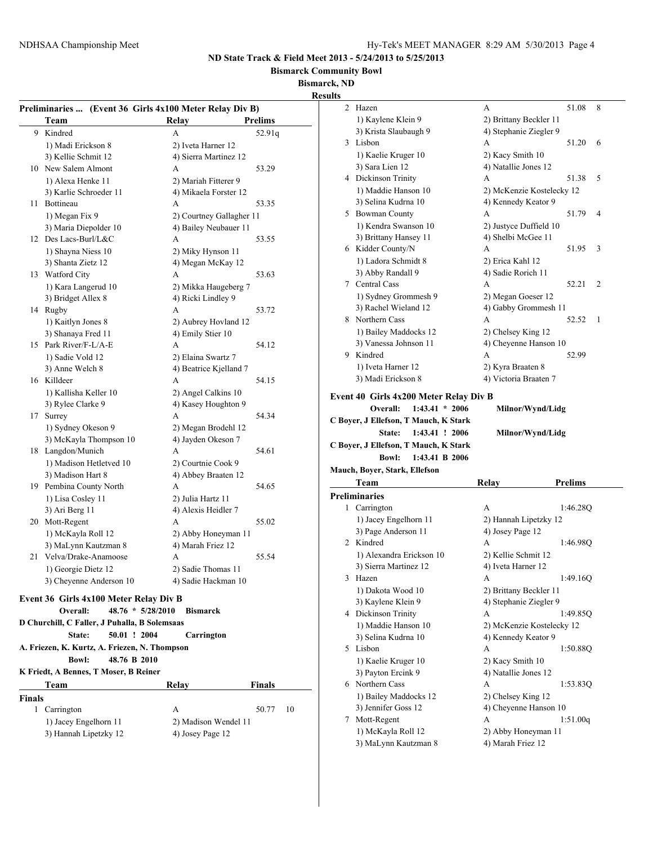**Bismarck Community Bowl**

**Bismarck, ND**

|               | Preliminaries  (Event 36 Girls 4x100 Meter Relay Div B) |                                            |                          | 2 Hazen                                | A                         | 8<br>51.08                                               |
|---------------|---------------------------------------------------------|--------------------------------------------|--------------------------|----------------------------------------|---------------------------|----------------------------------------------------------|
|               | Team                                                    | Relay                                      | <b>Prelims</b>           | 1) Kaylene Klein 9                     | 2) Brittany Beckler 11    |                                                          |
|               | 9 Kindred                                               | A                                          | 52.91q                   | 3) Krista Slaubaugh 9                  | 4) Stephanie Ziegler 9    |                                                          |
|               | 1) Madi Erickson 8                                      | 2) Iveta Harner 12                         |                          | 3 Lisbon                               | A                         | 51.20<br>-6                                              |
|               | 3) Kellie Schmit 12                                     | 4) Sierra Martinez 12                      |                          | 1) Kaelie Kruger 10                    | 2) Kacy Smith 10          |                                                          |
|               | 10 New Salem Almont                                     | A                                          | 53.29                    | 3) Sara Lien 12                        | 4) Natallie Jones 12      |                                                          |
|               | 1) Alexa Henke 11                                       | 2) Mariah Fitterer 9                       |                          | 4 Dickinson Trinity                    | A                         | 51.38 5                                                  |
|               | 3) Karlie Schroeder 11                                  | 4) Mikaela Forster 12                      |                          | 1) Maddie Hanson 10                    | 2) McKenzie Kostelecky 12 |                                                          |
|               | 11 Bottineau                                            | A                                          | 53.35                    | 3) Selina Kudrna 10                    | 4) Kennedy Keator 9       |                                                          |
|               | 1) Megan Fix 9                                          |                                            | 2) Courtney Gallagher 11 | 5 Bowman County                        | A                         | 51.79 4                                                  |
|               | 3) Maria Diepolder 10                                   | 4) Bailey Neubauer 11                      |                          | 1) Kendra Swanson 10                   | 2) Justyce Duffield 10    |                                                          |
|               | 12 Des Lacs-Burl/L&C                                    | A                                          | 53.55                    | 3) Brittany Hansey 11                  | 4) Shelbi McGee 11        |                                                          |
|               | 1) Shayna Niess 10                                      | 2) Miky Hynson 11                          |                          | 6 Kidder County/N                      | A                         | 51.95 3                                                  |
|               | 3) Shanta Zietz 12                                      | 4) Megan McKay 12                          |                          | 1) Ladora Schmidt 8                    | 2) Erica Kahl 12          |                                                          |
|               | 13 Watford City                                         | A                                          | 53.63                    | 3) Abby Randall 9                      | 4) Sadie Rorich 11        |                                                          |
|               | 1) Kara Langerud 10                                     | 2) Mikka Haugeberg 7                       |                          | 7 Central Cass                         | A                         | 52.21 2                                                  |
|               | 3) Bridget Allex 8                                      | 4) Ricki Lindley 9                         |                          | 1) Sydney Grommesh 9                   | 2) Megan Goeser 12        |                                                          |
|               | 14 Rugby                                                | А                                          | 53.72                    | 3) Rachel Wieland 12                   | 4) Gabby Grommesh 11      |                                                          |
|               | 1) Kaitlyn Jones 8                                      | 2) Aubrey Hovland 12                       |                          | 8 Northern Cass                        | A                         | 52.52 1                                                  |
|               | 3) Shanaya Fred 11                                      | 4) Emily Stier 10                          |                          | 1) Bailey Maddocks 12                  | 2) Chelsey King 12        |                                                          |
|               | 15 Park River/F-L/A-E                                   | A                                          | 54.12                    | 3) Vanessa Johnson 11                  | 4) Cheyenne Hanson 10     |                                                          |
|               | 1) Sadie Vold 12                                        | 2) Elaina Swartz 7                         |                          | 9 Kindred                              | A                         | 52.99                                                    |
|               | 3) Anne Welch 8                                         | 4) Beatrice Kjelland 7                     |                          | 1) Iveta Harner 12                     | 2) Kyra Braaten 8         |                                                          |
|               | 16 Killdeer                                             | A                                          | 54.15                    | 3) Madi Erickson 8                     | 4) Victoria Braaten 7     |                                                          |
|               |                                                         |                                            |                          |                                        |                           |                                                          |
|               |                                                         |                                            |                          |                                        |                           |                                                          |
|               | 1) Kallisha Keller 10<br>3) Rylee Clarke 9              | 2) Angel Calkins 10<br>4) Kasey Houghton 9 |                          | Event 40 Girls 4x200 Meter Relay Div B |                           |                                                          |
|               | 17 Surrey                                               | A                                          | 54.34                    | Overall:<br>$1:43.41 * 2006$           | Milnor/Wynd/Lidg          |                                                          |
|               | 1) Sydney Okeson 9                                      | 2) Megan Brodehl 12                        |                          | C Boyer, J Ellefson, T Mauch, K Stark  |                           |                                                          |
|               | 3) McKayla Thompson 10                                  | 4) Jayden Okeson 7                         |                          | State:<br>1:43.41 ! 2006               | Milnor/Wynd/Lidg          |                                                          |
|               | 18 Langdon/Munich                                       | А                                          | 54.61                    | C Boyer, J Ellefson, T Mauch, K Stark  |                           |                                                          |
|               | 1) Madison Hetletved 10                                 | 2) Courtnie Cook 9                         |                          | <b>Bowl:</b><br>1:43.41 B 2006         |                           |                                                          |
|               | 3) Madison Hart 8                                       |                                            |                          | Mauch, Boyer, Stark, Ellefson          |                           |                                                          |
|               | 19 Pembina County North                                 | 4) Abbey Braaten 12<br>A                   | 54.65                    | Team                                   | Relay                     | <b>Prelims</b>                                           |
|               |                                                         | 2) Julia Hartz 11                          |                          | <b>Preliminaries</b>                   |                           |                                                          |
|               | 1) Lisa Cosley 11                                       | 4) Alexis Heidler 7                        |                          | 1 Carrington                           | A                         |                                                          |
|               | 3) Ari Berg 11                                          | A                                          | 55.02                    | 1) Jacey Engelhorn 11                  | 2) Hannah Lipetzky 12     |                                                          |
|               | 20 Mott-Regent                                          |                                            |                          | 3) Page Anderson 11                    | 4) Josey Page 12          |                                                          |
|               | 1) McKayla Roll 12                                      | 2) Abby Honeyman 11<br>4) Marah Friez 12   |                          | 2 Kindred                              | A                         |                                                          |
|               | 3) MaLynn Kautzman 8<br>21 Velva/Drake-Anamoose         | A                                          | 55.54                    | 1) Alexandra Erickson 10               | 2) Kellie Schmit 12       |                                                          |
|               |                                                         |                                            |                          | 3) Sierra Martinez 12                  | 4) Iveta Harner 12        | 1:46.28Q                                                 |
|               | 1) Georgie Dietz 12                                     | 2) Sadie Thomas 11                         |                          | 3 Hazen                                | A                         |                                                          |
|               | 3) Cheyenne Anderson 10                                 | 4) Sadie Hackman 10                        |                          | 1) Dakota Wood 10                      | 2) Brittany Beckler 11    |                                                          |
|               | Event 36 Girls 4x100 Meter Relay Div B                  |                                            |                          | 3) Kaylene Klein 9                     | 4) Stephanie Ziegler 9    |                                                          |
|               | Overall:                                                | 48.76 * 5/28/2010 Bismarck                 |                          | 4 Dickinson Trinity                    | A                         |                                                          |
|               | D Churchill, C Faller, J Puhalla, B Solemsaas           |                                            |                          | 1) Maddie Hanson 10                    | 2) McKenzie Kostelecky 12 |                                                          |
|               | 50.01 ! 2004<br>State:                                  | Carrington                                 |                          | 3) Selina Kudrna 10                    | 4) Kennedy Keator 9       |                                                          |
|               | A. Friezen, K. Kurtz, A. Friezen, N. Thompson           |                                            |                          | 5 Lisbon                               | A                         |                                                          |
|               | <b>Bowl:</b><br>48.76 B 2010                            |                                            |                          | 1) Kaelie Kruger 10                    | 2) Kacy Smith 10          |                                                          |
|               | K Friedt, A Bennes, T Moser, B Reiner                   |                                            |                          | 3) Payton Ercink 9                     | 4) Natallie Jones 12      |                                                          |
|               | Team                                                    | Relay                                      | <b>Finals</b>            | 6 Northern Cass                        | A                         |                                                          |
|               |                                                         |                                            |                          | 1) Bailey Maddocks 12                  | 2) Chelsey King 12        |                                                          |
| <b>Finals</b> |                                                         |                                            |                          | 3) Jennifer Goss 12                    | 4) Cheyenne Hanson 10     | 1:46.98Q<br>1:49.16Q<br>1:49.85Q<br>1:50.88Q<br>1:53.83Q |
|               | 1 Carrington                                            | A                                          | 50.77<br>10              | 7 Mott-Regent                          | A                         | 1:51.00q                                                 |
|               | 1) Jacey Engelhorn 11<br>3) Hannah Lipetzky 12          | 2) Madison Wendel 11<br>4) Josey Page 12   |                          | 1) McKayla Roll 12                     | 2) Abby Honeyman 11       |                                                          |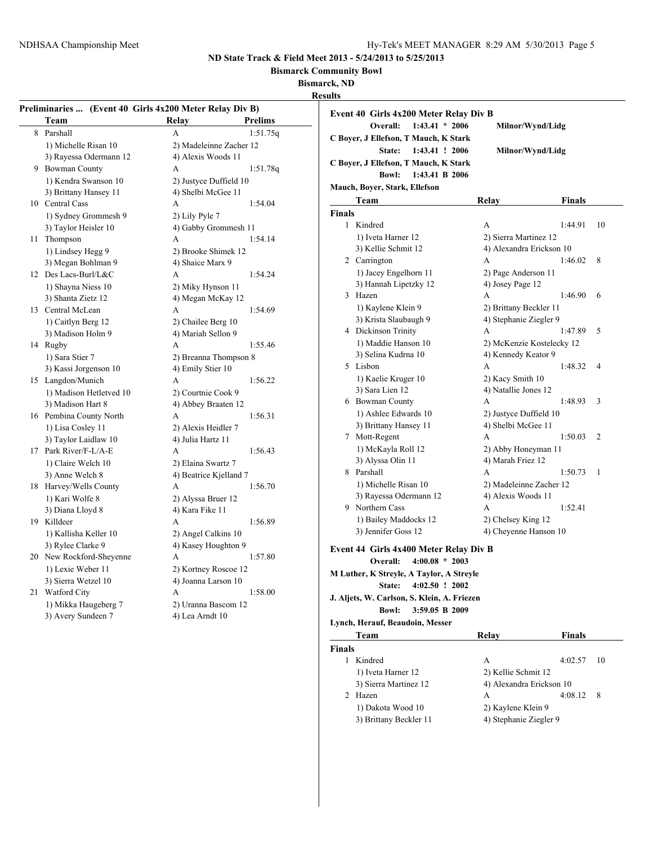**Bismarck Community Bowl**

**Bismarck, ND**

**Results**

|                         |                                                                                                                                                                                                                                                                                                                                                                                                                                                                                                                                       | 1:51.75q                                                                                                                                                                                                                                                                                                                                                                                                                                                                                                 |  |
|-------------------------|---------------------------------------------------------------------------------------------------------------------------------------------------------------------------------------------------------------------------------------------------------------------------------------------------------------------------------------------------------------------------------------------------------------------------------------------------------------------------------------------------------------------------------------|----------------------------------------------------------------------------------------------------------------------------------------------------------------------------------------------------------------------------------------------------------------------------------------------------------------------------------------------------------------------------------------------------------------------------------------------------------------------------------------------------------|--|
|                         |                                                                                                                                                                                                                                                                                                                                                                                                                                                                                                                                       |                                                                                                                                                                                                                                                                                                                                                                                                                                                                                                          |  |
|                         |                                                                                                                                                                                                                                                                                                                                                                                                                                                                                                                                       |                                                                                                                                                                                                                                                                                                                                                                                                                                                                                                          |  |
|                         |                                                                                                                                                                                                                                                                                                                                                                                                                                                                                                                                       | 1:51.78q                                                                                                                                                                                                                                                                                                                                                                                                                                                                                                 |  |
|                         |                                                                                                                                                                                                                                                                                                                                                                                                                                                                                                                                       |                                                                                                                                                                                                                                                                                                                                                                                                                                                                                                          |  |
|                         |                                                                                                                                                                                                                                                                                                                                                                                                                                                                                                                                       |                                                                                                                                                                                                                                                                                                                                                                                                                                                                                                          |  |
|                         |                                                                                                                                                                                                                                                                                                                                                                                                                                                                                                                                       | 1:54.04                                                                                                                                                                                                                                                                                                                                                                                                                                                                                                  |  |
|                         |                                                                                                                                                                                                                                                                                                                                                                                                                                                                                                                                       |                                                                                                                                                                                                                                                                                                                                                                                                                                                                                                          |  |
|                         |                                                                                                                                                                                                                                                                                                                                                                                                                                                                                                                                       |                                                                                                                                                                                                                                                                                                                                                                                                                                                                                                          |  |
|                         |                                                                                                                                                                                                                                                                                                                                                                                                                                                                                                                                       | 1:54.14                                                                                                                                                                                                                                                                                                                                                                                                                                                                                                  |  |
|                         |                                                                                                                                                                                                                                                                                                                                                                                                                                                                                                                                       |                                                                                                                                                                                                                                                                                                                                                                                                                                                                                                          |  |
|                         |                                                                                                                                                                                                                                                                                                                                                                                                                                                                                                                                       |                                                                                                                                                                                                                                                                                                                                                                                                                                                                                                          |  |
|                         | A                                                                                                                                                                                                                                                                                                                                                                                                                                                                                                                                     | 1:54.24                                                                                                                                                                                                                                                                                                                                                                                                                                                                                                  |  |
| 1) Shayna Niess 10      |                                                                                                                                                                                                                                                                                                                                                                                                                                                                                                                                       |                                                                                                                                                                                                                                                                                                                                                                                                                                                                                                          |  |
| 3) Shanta Zietz 12      |                                                                                                                                                                                                                                                                                                                                                                                                                                                                                                                                       |                                                                                                                                                                                                                                                                                                                                                                                                                                                                                                          |  |
| 13                      | A                                                                                                                                                                                                                                                                                                                                                                                                                                                                                                                                     | 1:54.69                                                                                                                                                                                                                                                                                                                                                                                                                                                                                                  |  |
| 1) Caitlyn Berg 12      | 2) Chailee Berg 10                                                                                                                                                                                                                                                                                                                                                                                                                                                                                                                    |                                                                                                                                                                                                                                                                                                                                                                                                                                                                                                          |  |
|                         | 4) Mariah Sellon 9                                                                                                                                                                                                                                                                                                                                                                                                                                                                                                                    |                                                                                                                                                                                                                                                                                                                                                                                                                                                                                                          |  |
| Rugby                   | A                                                                                                                                                                                                                                                                                                                                                                                                                                                                                                                                     | 1:55.46                                                                                                                                                                                                                                                                                                                                                                                                                                                                                                  |  |
| 1) Sara Stier 7         | 2) Breanna Thompson 8                                                                                                                                                                                                                                                                                                                                                                                                                                                                                                                 |                                                                                                                                                                                                                                                                                                                                                                                                                                                                                                          |  |
| 3) Kassi Jorgenson 10   | 4) Emily Stier 10                                                                                                                                                                                                                                                                                                                                                                                                                                                                                                                     |                                                                                                                                                                                                                                                                                                                                                                                                                                                                                                          |  |
| Langdon/Munich          | A                                                                                                                                                                                                                                                                                                                                                                                                                                                                                                                                     | 1:56.22                                                                                                                                                                                                                                                                                                                                                                                                                                                                                                  |  |
| 1) Madison Hetletved 10 | 2) Courtnie Cook 9                                                                                                                                                                                                                                                                                                                                                                                                                                                                                                                    |                                                                                                                                                                                                                                                                                                                                                                                                                                                                                                          |  |
| 3) Madison Hart 8       | 4) Abbey Braaten 12                                                                                                                                                                                                                                                                                                                                                                                                                                                                                                                   |                                                                                                                                                                                                                                                                                                                                                                                                                                                                                                          |  |
| 16 Pembina County North | A                                                                                                                                                                                                                                                                                                                                                                                                                                                                                                                                     | 1:56.31                                                                                                                                                                                                                                                                                                                                                                                                                                                                                                  |  |
| 1) Lisa Cosley 11       | 2) Alexis Heidler 7                                                                                                                                                                                                                                                                                                                                                                                                                                                                                                                   |                                                                                                                                                                                                                                                                                                                                                                                                                                                                                                          |  |
| 3) Taylor Laidlaw 10    | 4) Julia Hartz 11                                                                                                                                                                                                                                                                                                                                                                                                                                                                                                                     |                                                                                                                                                                                                                                                                                                                                                                                                                                                                                                          |  |
| Park River/F-L/A-E      | A                                                                                                                                                                                                                                                                                                                                                                                                                                                                                                                                     | 1:56.43                                                                                                                                                                                                                                                                                                                                                                                                                                                                                                  |  |
| 1) Claire Welch 10      | 2) Elaina Swartz 7                                                                                                                                                                                                                                                                                                                                                                                                                                                                                                                    |                                                                                                                                                                                                                                                                                                                                                                                                                                                                                                          |  |
| 3) Anne Welch 8         | 4) Beatrice Kjelland 7                                                                                                                                                                                                                                                                                                                                                                                                                                                                                                                |                                                                                                                                                                                                                                                                                                                                                                                                                                                                                                          |  |
| Harvey/Wells County     | A                                                                                                                                                                                                                                                                                                                                                                                                                                                                                                                                     | 1:56.70                                                                                                                                                                                                                                                                                                                                                                                                                                                                                                  |  |
|                         |                                                                                                                                                                                                                                                                                                                                                                                                                                                                                                                                       |                                                                                                                                                                                                                                                                                                                                                                                                                                                                                                          |  |
| 3) Diana Lloyd 8        | 4) Kara Fike 11                                                                                                                                                                                                                                                                                                                                                                                                                                                                                                                       |                                                                                                                                                                                                                                                                                                                                                                                                                                                                                                          |  |
| Killdeer                | A                                                                                                                                                                                                                                                                                                                                                                                                                                                                                                                                     | 1:56.89                                                                                                                                                                                                                                                                                                                                                                                                                                                                                                  |  |
|                         |                                                                                                                                                                                                                                                                                                                                                                                                                                                                                                                                       |                                                                                                                                                                                                                                                                                                                                                                                                                                                                                                          |  |
|                         |                                                                                                                                                                                                                                                                                                                                                                                                                                                                                                                                       |                                                                                                                                                                                                                                                                                                                                                                                                                                                                                                          |  |
|                         | A                                                                                                                                                                                                                                                                                                                                                                                                                                                                                                                                     | 1:57.80                                                                                                                                                                                                                                                                                                                                                                                                                                                                                                  |  |
|                         |                                                                                                                                                                                                                                                                                                                                                                                                                                                                                                                                       |                                                                                                                                                                                                                                                                                                                                                                                                                                                                                                          |  |
|                         |                                                                                                                                                                                                                                                                                                                                                                                                                                                                                                                                       |                                                                                                                                                                                                                                                                                                                                                                                                                                                                                                          |  |
|                         |                                                                                                                                                                                                                                                                                                                                                                                                                                                                                                                                       | 1:58.00                                                                                                                                                                                                                                                                                                                                                                                                                                                                                                  |  |
|                         |                                                                                                                                                                                                                                                                                                                                                                                                                                                                                                                                       |                                                                                                                                                                                                                                                                                                                                                                                                                                                                                                          |  |
|                         |                                                                                                                                                                                                                                                                                                                                                                                                                                                                                                                                       |                                                                                                                                                                                                                                                                                                                                                                                                                                                                                                          |  |
|                         |                                                                                                                                                                                                                                                                                                                                                                                                                                                                                                                                       |                                                                                                                                                                                                                                                                                                                                                                                                                                                                                                          |  |
|                         | Team<br>Parshall<br>1) Michelle Risan 10<br>3) Rayessa Odermann 12<br><b>Bowman County</b><br>1) Kendra Swanson 10<br>3) Brittany Hansey 11<br>10 Central Cass<br>1) Sydney Grommesh 9<br>3) Taylor Heisler 10<br>Thompson<br>1) Lindsey Hegg 9<br>3) Megan Bohlman 9<br>Des Lacs-Burl/L&C<br>Central McLean<br>3) Madison Holm 9<br>1) Kari Wolfe 8<br>1) Kallisha Keller 10<br>3) Rylee Clarke 9<br>New Rockford-Sheyenne<br>1) Lexie Weber 11<br>3) Sierra Wetzel 10<br>Watford City<br>1) Mikka Haugeberg 7<br>3) Avery Sundeen 7 | Preliminaries  (Event 40 Girls 4x200 Meter Relay Div B)<br>Relay<br><b>Prelims</b><br>A<br>2) Madeleinne Zacher 12<br>4) Alexis Woods 11<br>А<br>2) Justyce Duffield 10<br>4) Shelbi McGee 11<br>A<br>2) Lily Pyle 7<br>4) Gabby Grommesh 11<br>A<br>2) Brooke Shimek 12<br>4) Shaice Marx 9<br>2) Miky Hynson 11<br>4) Megan McKay 12<br>2) Alyssa Bruer 12<br>2) Angel Calkins 10<br>4) Kasey Houghton 9<br>2) Kortney Roscoe 12<br>4) Joanna Larson 10<br>A<br>2) Uranna Bascom 12<br>4) Lea Arndt 10 |  |

| sunts                                       |                           |    |
|---------------------------------------------|---------------------------|----|
| Event 40 Girls 4x200 Meter Relay Div B      |                           |    |
| $1:43.41 * 2006$<br>Overall:                | Milnor/Wynd/Lidg          |    |
| C Boyer, J Ellefson, T Mauch, K Stark       |                           |    |
| State:<br>1:43.41 ! 2006                    | Milnor/Wynd/Lidg          |    |
| C Boyer, J Ellefson, T Mauch, K Stark       |                           |    |
| <b>Bowl:</b><br>1:43.41 B 2006              |                           |    |
|                                             |                           |    |
| Mauch, Boyer, Stark, Ellefson               |                           |    |
| Team                                        | Relay<br>Finals           |    |
| <b>Finals</b>                               |                           |    |
| 1<br>Kindred                                | 1:44.91<br>А              | 10 |
| 1) Iveta Harner 12                          | 2) Sierra Martinez 12     |    |
| 3) Kellie Schmit 12                         | 4) Alexandra Erickson 10  |    |
| 2 Carrington                                | A<br>1:46.02              | 8  |
| 1) Jacey Engelhorn 11                       | 2) Page Anderson 11       |    |
| 3) Hannah Lipetzky 12                       | 4) Josey Page 12          |    |
| 3 Hazen                                     | 1:46.90<br>А              | 6  |
| 1) Kaylene Klein 9                          | 2) Brittany Beckler 11    |    |
| 3) Krista Slaubaugh 9                       | 4) Stephanie Ziegler 9    |    |
| 4 Dickinson Trinity                         | А<br>1:47.89              | 5  |
| 1) Maddie Hanson 10                         | 2) McKenzie Kostelecky 12 |    |
| 3) Selina Kudrna 10                         | 4) Kennedy Keator 9       |    |
| 5 Lisbon                                    | A<br>1:48.32              | 4  |
| 1) Kaelie Kruger 10                         | 2) Kacy Smith 10          |    |
| 3) Sara Lien 12                             | 4) Natallie Jones 12      |    |
| 6 Bowman County                             | A<br>1:48.93              | 3  |
| 1) Ashlee Edwards 10                        | 2) Justyce Duffield 10    |    |
| 3) Brittany Hansey 11                       | 4) Shelbi McGee 11        |    |
| 7 Mott-Regent                               | A<br>1:50.03              | 2  |
| 1) McKayla Roll 12                          | 2) Abby Honeyman 11       |    |
| 3) Alyssa Olin 11                           | 4) Marah Friez 12         |    |
| 8 Parshall                                  | A<br>1:50.73              | 1  |
| 1) Michelle Risan 10                        | 2) Madeleinne Zacher 12   |    |
| 3) Rayessa Odermann 12                      | 4) Alexis Woods 11        |    |
| 9 Northern Cass                             | 1:52.41<br>А              |    |
| 1) Bailey Maddocks 12                       | 2) Chelsey King 12        |    |
| 3) Jennifer Goss 12                         | 4) Cheyenne Hanson 10     |    |
|                                             |                           |    |
| Event 44 Girls 4x400 Meter Relay Div B      |                           |    |
| Overall:<br>$4:00.08 * 2003$                |                           |    |
| M Luther, K Streyle, A Taylor, A Streyle    |                           |    |
| $4:02.50$ ! 2002<br><b>State:</b>           |                           |    |
| J. Aljets, W. Carlson, S. Klein, A. Friezen |                           |    |
| <b>Bowl:</b><br>3:59.05 B 2009              |                           |    |
| Lynch, Herauf, Beaudoin, Messer             |                           |    |
| Team                                        | <b>Finals</b><br>Relay    |    |
| Finals                                      |                           |    |
| 1 Kindred                                   | А<br>4:02.57              | 10 |
| 1) Iveta Harner 12                          | 2) Kellie Schmit 12       |    |
| 3) Sierra Martinez 12                       | 4) Alexandra Erickson 10  |    |
| 2 Hazen                                     | 4:08.12<br>А              | 8  |

| 1) Dakota Wood 10 | 2) Kaylene Klein 9 |
|-------------------|--------------------|
|                   |                    |

3) Brittany Beckler 11 4) Stephanie Ziegler 9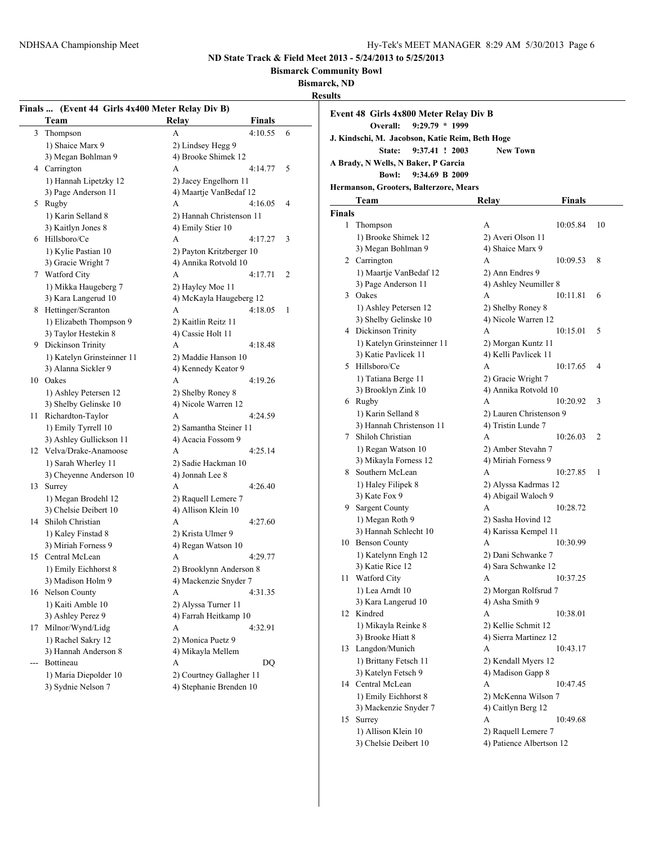**Bismarck Community Bowl**

**Bismarck, ND**

**Results**

|     | Finals  (Event 44 Girls 4x400 Meter Relay Div B) |                          |         |   |
|-----|--------------------------------------------------|--------------------------|---------|---|
|     | Team                                             | Relay                    | Finals  |   |
| 3   | Thompson                                         | A                        | 4:10.55 | 6 |
|     | 1) Shaice Marx 9                                 | 2) Lindsey Hegg 9        |         |   |
|     | 3) Megan Bohlman 9                               | 4) Brooke Shimek 12      |         |   |
|     | 4 Carrington                                     | A                        | 4:14.77 | 5 |
|     | 1) Hannah Lipetzky 12                            | 2) Jacey Engelhorn 11    |         |   |
|     | 3) Page Anderson 11                              | 4) Maartje VanBedaf 12   |         |   |
|     | 5 Rugby                                          | A                        | 4:16.05 | 4 |
|     | 1) Karin Selland 8                               | 2) Hannah Christenson 11 |         |   |
|     | 3) Kaitlyn Jones 8                               | 4) Emily Stier 10        |         |   |
|     | 6 Hillsboro/Ce                                   | А                        | 4:17.27 | 3 |
|     | 1) Kylie Pastian 10                              | 2) Payton Kritzberger 10 |         |   |
|     | 3) Gracie Wright 7                               | 4) Annika Rotvold 10     |         |   |
|     | 7 Watford City                                   | A                        | 4:17.71 | 2 |
|     | 1) Mikka Haugeberg 7                             | 2) Hayley Moe 11         |         |   |
|     | 3) Kara Langerud 10                              | 4) McKayla Haugeberg 12  |         |   |
|     | 8 Hettinger/Scranton                             | A                        | 4:18.05 | 1 |
|     | 1) Elizabeth Thompson 9                          | 2) Kaitlin Reitz 11      |         |   |
|     | 3) Taylor Hestekin 8                             | 4) Cassie Holt 11        |         |   |
|     | 9 Dickinson Trinity                              | A                        | 4:18.48 |   |
|     | 1) Katelyn Grinsteinner 11                       | 2) Maddie Hanson 10      |         |   |
|     | 3) Alanna Sickler 9                              | 4) Kennedy Keator 9      |         |   |
|     | 10 Oakes                                         | А                        | 4:19.26 |   |
|     | 1) Ashley Petersen 12                            | 2) Shelby Roney 8        |         |   |
|     | 3) Shelby Gelinske 10                            | 4) Nicole Warren 12      |         |   |
|     | 11 Richardton-Taylor                             | А                        | 4:24.59 |   |
|     | 1) Emily Tyrrell 10                              | 2) Samantha Steiner 11   |         |   |
|     | 3) Ashley Gullickson 11                          | 4) Acacia Fossom 9       |         |   |
|     | 12 Velva/Drake-Anamoose                          | A                        | 4:25.14 |   |
|     | 1) Sarah Wherley 11                              | 2) Sadie Hackman 10      |         |   |
|     | 3) Cheyenne Anderson 10                          | 4) Jonnah Lee 8          |         |   |
|     | 13 Surrey                                        | A                        | 4:26.40 |   |
|     | 1) Megan Brodehl 12                              | 2) Raquell Lemere 7      |         |   |
|     | 3) Chelsie Deibert 10                            | 4) Allison Klein 10      |         |   |
| 14  | Shiloh Christian                                 | А                        | 4:27.60 |   |
|     | 1) Kaley Finstad 8                               | 2) Krista Ulmer 9        |         |   |
|     | 3) Miriah Forness 9                              | 4) Regan Watson 10       |         |   |
|     | 15 Central McLean                                | А                        | 4:29.77 |   |
|     | 1) Emily Eichhorst 8                             | 2) Brooklynn Anderson 8  |         |   |
|     | 3) Madison Holm 9                                | 4) Mackenzie Snyder 7    |         |   |
|     | 16 Nelson County                                 | A                        | 4:31.35 |   |
|     | 1) Kaiti Amble 10                                | 2) Alyssa Turner 11      |         |   |
|     | 3) Ashley Perez 9                                | 4) Farrah Heitkamp 10    |         |   |
| 17  | Milnor/Wynd/Lidg                                 | А                        | 4:32.91 |   |
|     | 1) Rachel Sakry 12                               | 2) Monica Puetz 9        |         |   |
|     | 3) Hannah Anderson 8                             | 4) Mikayla Mellem        |         |   |
| --- | Bottineau                                        | A                        | DQ      |   |
|     | 1) Maria Diepolder 10                            | 2) Courtney Gallagher 11 |         |   |
|     | 3) Sydnie Nelson 7                               | 4) Stephanie Brenden 10  |         |   |
|     |                                                  |                          |         |   |

|        | Event 48 Girls 4x800 Meter Relay Div B<br>$9:29.79 * 1999$<br>Overall: |                          |          |                |
|--------|------------------------------------------------------------------------|--------------------------|----------|----------------|
|        | J. Kindschi, M. Jacobson, Katie Reim, Beth Hoge                        |                          |          |                |
|        | 9:37.41 ! 2003<br>State:                                               | <b>New Town</b>          |          |                |
|        | A Brady, N Wells, N Baker, P Garcia                                    |                          |          |                |
|        | <b>Bowl:</b><br>9:34.69 B 2009                                         |                          |          |                |
|        | Hermanson, Grooters, Balterzore, Mears                                 |                          |          |                |
|        | Team                                                                   | Relay                    | Finals   |                |
| Finals |                                                                        |                          |          |                |
| 1      | Thompson                                                               | А                        | 10:05.84 | 10             |
|        | 1) Brooke Shimek 12                                                    | 2) Averi Olson 11        |          |                |
|        | 3) Megan Bohlman 9                                                     | 4) Shaice Marx 9         |          |                |
|        | 2 Carrington                                                           | A                        | 10:09.53 | 8              |
|        | 1) Maartje VanBedaf 12                                                 | 2) Ann Endres 9          |          |                |
|        | 3) Page Anderson 11                                                    | 4) Ashley Neumiller 8    |          |                |
|        | 3 Oakes                                                                | А                        | 10:11.81 | 6              |
|        | 1) Ashley Petersen 12                                                  | 2) Shelby Roney 8        |          |                |
|        | 3) Shelby Gelinske 10                                                  | 4) Nicole Warren 12      |          |                |
|        | 4 Dickinson Trinity                                                    | A                        | 10:15.01 | 5              |
|        | 1) Katelyn Grinsteinner 11                                             | 2) Morgan Kuntz 11       |          |                |
|        | 3) Katie Pavlicek 11                                                   | 4) Kelli Pavlicek 11     |          |                |
|        | 5 Hillsboro/Ce                                                         | А                        | 10:17.65 | 4              |
|        | 1) Tatiana Berge 11                                                    | 2) Gracie Wright 7       |          |                |
|        | 3) Brooklyn Zink 10                                                    | 4) Annika Rotvold 10     |          |                |
|        | 6 Rugby                                                                | A                        | 10:20.92 | 3              |
|        | 1) Karin Selland 8                                                     | 2) Lauren Christenson 9  |          |                |
|        | 3) Hannah Christenson 11                                               | 4) Tristin Lunde 7       |          |                |
| 7      | Shiloh Christian                                                       | A                        | 10:26.03 | $\overline{c}$ |
|        | 1) Regan Watson 10                                                     | 2) Amber Stevahn 7       |          |                |
|        | 3) Mikayla Forness 12                                                  | 4) Miriah Forness 9      |          |                |
|        | 8 Southern McLean                                                      | A                        | 10:27.85 | 1              |
|        | 1) Haley Filipek 8                                                     | 2) Alyssa Kadrmas 12     |          |                |
|        | 3) Kate Fox 9                                                          | 4) Abigail Waloch 9      |          |                |
|        | 9 Sargent County                                                       | А                        | 10:28.72 |                |
|        | 1) Megan Roth 9                                                        | 2) Sasha Hovind 12       |          |                |
|        | 3) Hannah Schlecht 10                                                  | 4) Karissa Kempel 11     |          |                |
|        | 10 Benson County                                                       | A                        | 10:30.99 |                |
|        | 1) Katelynn Engh 12                                                    | 2) Dani Schwanke 7       |          |                |
|        | 3) Katie Rice 12                                                       | 4) Sara Schwanke 12      |          |                |
| 11     | <b>Watford City</b>                                                    | A                        | 10:37.25 |                |
|        | 1) Lea Arndt 10                                                        | 2) Morgan Rolfsrud 7     |          |                |
|        | 3) Kara Langerud 10                                                    | 4) Asha Smith 9          |          |                |
|        | 12 Kindred                                                             | А                        | 10:38.01 |                |
|        | 1) Mikayla Reinke 8                                                    | 2) Kellie Schmit 12      |          |                |
|        | 3) Brooke Hiatt 8                                                      | 4) Sierra Martinez 12    |          |                |
|        | 13 Langdon/Munich                                                      | A                        | 10:43.17 |                |
|        | 1) Brittany Fetsch 11                                                  | 2) Kendall Myers 12      |          |                |
|        | 3) Katelyn Fetsch 9                                                    | 4) Madison Gapp 8        |          |                |
|        | 14 Central McLean                                                      | A                        | 10:47.45 |                |
|        | 1) Emily Eichhorst 8                                                   | 2) McKenna Wilson 7      |          |                |
|        | 3) Mackenzie Snyder 7                                                  | 4) Caitlyn Berg 12       |          |                |
| 15     | Surrey                                                                 | А                        | 10:49.68 |                |
|        | 1) Allison Klein 10                                                    | 2) Raquell Lemere 7      |          |                |
|        | 3) Chelsie Deibert 10                                                  | 4) Patience Albertson 12 |          |                |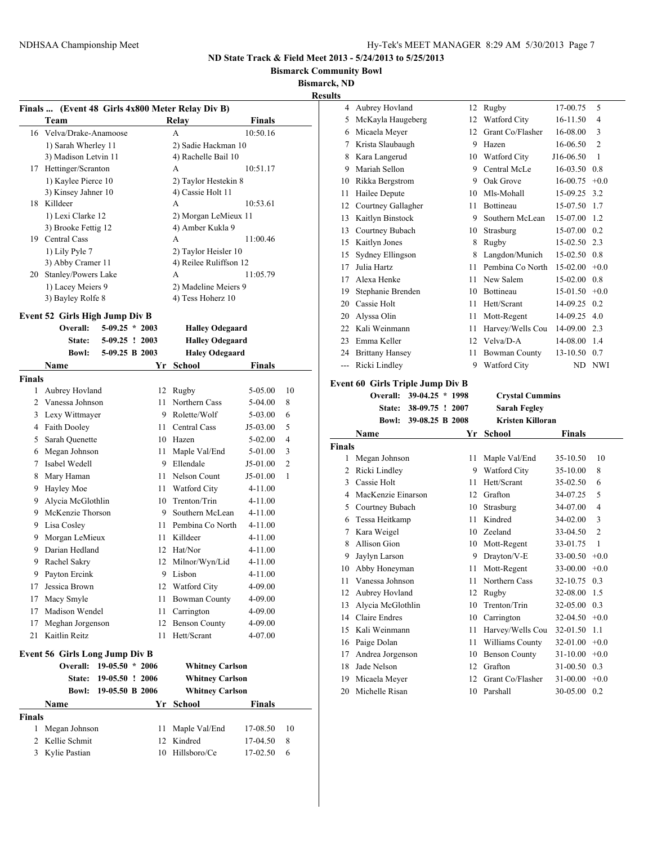**Bismarck Community Bowl**

**Bismarck, ND**

**Results**

|               |                                            |                   |    | (Event 48 Girls 4x800 Meter Relay Div B) |               |                |
|---------------|--------------------------------------------|-------------------|----|------------------------------------------|---------------|----------------|
| Finals        | Team                                       |                   |    | <b>Relay</b>                             | <b>Finals</b> |                |
| 16            | Velva/Drake-Anamoose                       |                   |    | A                                        | 10:50.16      |                |
|               | 1) Sarah Wherley 11                        |                   |    | 2) Sadie Hackman 10                      |               |                |
|               | 3) Madison Letvin 11                       |                   |    | 4) Rachelle Bail 10                      |               |                |
| 17            | Hettinger/Scranton                         |                   |    | A                                        | 10:51.17      |                |
|               | 1) Kaylee Pierce 10                        |                   |    | 2) Taylor Hestekin 8                     |               |                |
|               | 3) Kinsey Jahner 10                        |                   |    | 4) Cassie Holt 11                        |               |                |
| 18            | Killdeer                                   |                   |    | A                                        | 10:53.61      |                |
|               | 1) Lexi Clarke 12                          |                   |    | 2) Morgan LeMieux 11                     |               |                |
|               | 3) Brooke Fettig 12                        |                   |    | 4) Amber Kukla 9                         |               |                |
|               | 19 Central Cass                            |                   |    | A                                        | 11:00.46      |                |
|               | 1) Lily Pyle 7                             |                   |    | 2) Taylor Heisler 10                     |               |                |
|               | 3) Abby Cramer 11                          |                   |    | 4) Reilee Ruliffson 12                   |               |                |
| 20            | Stanley/Powers Lake                        |                   |    | А                                        | 11:05.79      |                |
|               | 1) Lacey Meiers 9                          |                   |    | 2) Madeline Meiers 9                     |               |                |
|               | 3) Bayley Rolfe 8                          |                   |    | 4) Tess Hoherz 10                        |               |                |
|               |                                            |                   |    |                                          |               |                |
|               | Event 52 Girls High Jump Div B<br>Overall: | $5-09.25 * 2003$  |    | <b>Halley Odegaard</b>                   |               |                |
|               | State:                                     | $5-09.25$ ! 2003  |    | <b>Halley Odegaard</b>                   |               |                |
|               | <b>Bowl:</b>                               | 5-09.25 B 2003    |    | <b>Haley Odegaard</b>                    |               |                |
|               | Name                                       |                   | Yr | School                                   | <b>Finals</b> |                |
| <b>Finals</b> |                                            |                   |    |                                          |               |                |
| 1             | Aubrey Hovland                             |                   | 12 | Rugby                                    | 5-05.00       | 10             |
| 2             | Vanessa Johnson                            |                   | 11 | Northern Cass                            | 5-04.00       | 8              |
| 3             | Lexy Wittmayer                             |                   | 9  | Rolette/Wolf                             | 5-03.00       | 6              |
|               | 4 Faith Dooley                             |                   |    | 11 Central Cass                          |               | 5              |
|               | Sarah Quenette                             |                   |    | 10 Hazen                                 | J5-03.00      | 4              |
| 5             |                                            |                   |    |                                          | 5-02.00       | 3              |
|               | 6 Megan Johnson<br>Isabel Wedell           |                   | 11 | Maple Val/End<br>Ellendale               | 5-01.00       |                |
| 7             |                                            |                   | 9  |                                          | J5-01.00      | $\overline{c}$ |
| 8             | Mary Haman                                 |                   |    | 11 Nelson Count                          | J5-01.00      | 1              |
| 9             | Hayley Moe                                 |                   |    | 11 Watford City                          | 4-11.00       |                |
| 9             | Alycia McGlothlin                          |                   |    | 10 Trenton/Trin                          | 4-11.00       |                |
| 9.            | McKenzie Thorson                           |                   | 9. | Southern McLean                          | 4-11.00       |                |
|               | 9 Lisa Cosley                              |                   |    | 11 Pembina Co North                      | 4-11.00       |                |
| 9             | Morgan LeMieux                             |                   | 11 | Killdeer                                 | 4-11.00       |                |
| 9             | Darian Hedland                             |                   |    | 12 Hat/Nor                               | 4-11.00       |                |
| 9             | Rachel Sakry                               |                   |    | 12 Milnor/Wyn/Lid                        | 4-11.00       |                |
| 9             | Payton Ercink                              |                   |    | 9 Lisbon                                 | $4 - 11.00$   |                |
| 17            | Jessica Brown                              |                   |    | 12 Watford City                          | 4-09.00       |                |
| 17            | Macy Smyle                                 |                   | 11 | <b>Bowman County</b>                     | 4-09.00       |                |
| 17            | Madison Wendel                             |                   | 11 | Carrington                               | 4-09.00       |                |
| 17            | Meghan Jorgenson                           |                   | 12 | <b>Benson County</b>                     | 4-09.00       |                |
| 21            | Kaitlin Reitz                              |                   | 11 | Hett/Scrant                              | 4-07.00       |                |
|               | <b>Event 56 Girls Long Jump Div B</b>      |                   |    |                                          |               |                |
|               | Overall:                                   | $19-05.50 * 2006$ |    | <b>Whitney Carlson</b>                   |               |                |
|               | State:                                     | 19-05.50 ! 2006   |    | <b>Whitney Carlson</b>                   |               |                |
|               | Bowl:                                      | 19-05.50 B 2006   |    | <b>Whitney Carlson</b>                   |               |                |
|               | Name                                       |                   | Yr | School                                   | Finals        |                |
| <b>Finals</b> |                                            |                   |    |                                          |               |                |
| 1             | Megan Johnson                              |                   | 11 | Maple Val/End                            | 17-08.50      | 10             |
| 2             | Kellie Schmit                              |                   | 12 | Kindred                                  | 17-04.50      | 8              |
| 3             | Kylie Pastian                              |                   | 10 | Hillsboro/Ce                             | 17-02.50      | 6              |
|               |                                            |                   |    |                                          |               |                |

| 4             | Aubrey Hovland                          | 12 | Rugby                   | 17-00.75      | 5              |
|---------------|-----------------------------------------|----|-------------------------|---------------|----------------|
| 5             | McKayla Haugeberg                       | 12 | Watford City            | 16-11.50      | 4              |
| 6             | Micaela Meyer                           | 12 | Grant Co/Flasher        | 16-08.00      | 3              |
| 7             | Krista Slaubaugh                        | 9  | Hazen                   | 16-06.50      | $\overline{2}$ |
| 8             | Kara Langerud                           | 10 | Watford City            | J16-06.50     | 1              |
| 9             | Mariah Sellon                           | 9. | Central McLe            | 16-03.50      | 0.8            |
| 10            | Rikka Bergstrom                         | 9  | Oak Grove               | 16-00.75      | $+0.0$         |
| 11            | Hailee Depute                           | 10 | Mls-Mohall              | 15-09.25      | 3.2            |
| 12            | Courtney Gallagher                      | 11 | Bottineau               | 15-07.50      | 1.7            |
| 13            | Kaitlyn Binstock                        | 9  | Southern McLean         | 15-07.00      | 1.2            |
| 13            | Courtney Bubach                         | 10 | Strasburg               | 15-07.00      | 0.2            |
| 15            | Kaitlyn Jones                           | 8  | Rugby                   | 15-02.50      | 2.3            |
| 15            | Sydney Ellingson                        | 8  | Langdon/Munich          | 15-02.50      | 0.8            |
| 17            | Julia Hartz                             | 11 | Pembina Co North        | $15-02.00$    | $+0.0$         |
| 17            | Alexa Henke                             | 11 | New Salem               | 15-02.00      | 0.8            |
|               | 19 Stephanie Brenden                    | 10 | Bottineau               | 15-01.50      | $+0.0$         |
|               | 20 Cassie Holt                          | 11 | Hett/Scrant             | 14-09.25      | 0.2            |
| 20            | Alyssa Olin                             | 11 | Mott-Regent             | 14-09.25      | 4.0            |
| 22            | Kali Weinmann                           | 11 | Harvey/Wells Cou        | 14-09.00      | 2.3            |
| 23            | Emma Keller                             | 12 | Velva/D-A               | 14-08.00      | 1.4            |
| 24            | <b>Brittany Hansey</b>                  | 11 | <b>Bowman County</b>    | 13-10.50      | 0.7            |
| ---           | Ricki Lindley                           | 9  | Watford City            | ND            | <b>NWI</b>     |
|               | <b>Event 60 Girls Triple Jump Div B</b> |    |                         |               |                |
|               | 39-04.25 * 1998<br>Overall:             |    | <b>Crystal Cummins</b>  |               |                |
|               | 38-09.75 ! 2007<br>State:               |    | <b>Sarah Fegley</b>     |               |                |
|               | <b>Bowl:</b><br>39-08.25 B 2008         |    | <b>Kristen Killoran</b> |               |                |
|               | Name                                    | Yr | <b>School</b>           | <b>Finals</b> |                |
| <b>Finals</b> |                                         |    |                         |               |                |
| 1             | Megan Johnson                           | 11 | Maple Val/End           | 35-10.50      | 10             |
| 2             | Ricki Lindley                           | 9  | Watford City            | 35-10.00      | 8              |
| 3             | Cassie Holt                             | 11 | Hett/Scrant             | 35-02.50      | 6              |
| 4             | MacKenzie Einarson                      |    | 12 Grafton              | 34-07.25      | 5              |
| 5             | Courtney Bubach                         | 10 | Strasburg               | 34-07.00      | 4              |
| 6             | Tessa Heitkamp                          | 11 | Kindred                 | 34-02.00      | 3              |
| 7             | Kara Weigel                             | 10 | Zeeland                 | 33-04.50      | $\overline{2}$ |
| 8             | Allison Gion                            | 10 | Mott-Regent             | 33-01.75      | $\mathbf{1}$   |

 Jaylyn Larson 9 Drayton/V-E 33-00.50 +0.0 Abby Honeyman 11 Mott-Regent 33-00.00 +0.0 Vanessa Johnson 11 Northern Cass 32-10.75 0.3 Aubrey Hovland 12 Rugby 32-08.00 1.5 Alycia McGlothlin 10 Trenton/Trin 32-05.00 0.3 Claire Endres 10 Carrington 32-04.50 +0.0 Kali Weinmann 11 Harvey/Wells Cou 32-01.50 1.1 Paige Dolan 11 Williams County 32-01.00 +0.0

| 17 Andrea Jorgenson | 10 Benson County    | $31-10.00 + 0.0$ |  |
|---------------------|---------------------|------------------|--|
| 18 Jade Nelson      | 12 Grafton          | $31-00.50$ 0.3   |  |
| 19 Micaela Meyer    | 12 Grant Co/Flasher | $31-00.00 + 0.0$ |  |
| 20 Michelle Risan   | 10 Parshall         | $30-05.00$ 0.2   |  |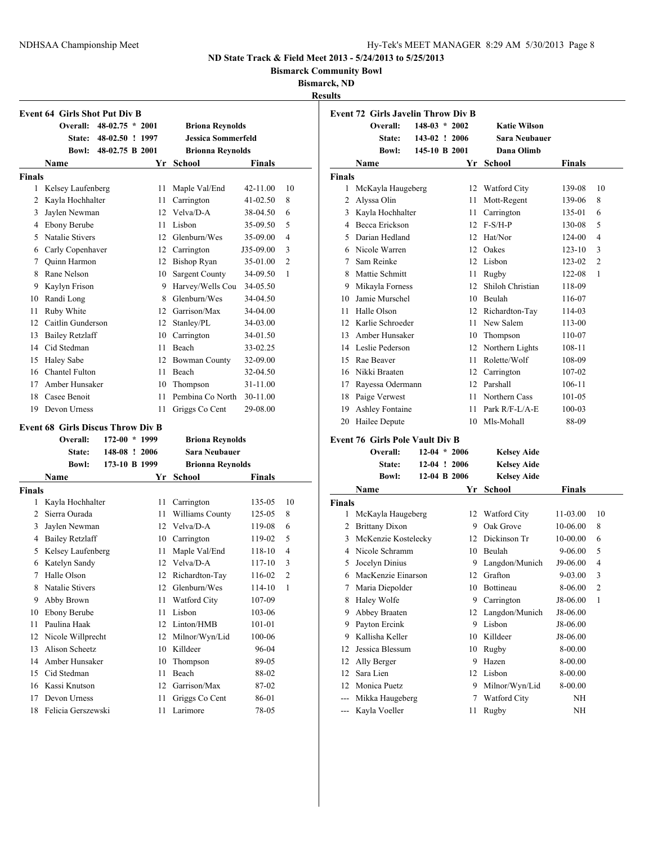**Bismarck Community Bowl**

**Bismarck, ND**

**Results**

|               | <b>Event 64 Girls Shot Put Div B</b>     |                   |    |                           |           |                |
|---------------|------------------------------------------|-------------------|----|---------------------------|-----------|----------------|
|               | <b>Overall:</b>                          | $48-02.75 * 2001$ |    | <b>Briona Reynolds</b>    |           |                |
|               | <b>State:</b>                            | 48-02.50 ! 1997   |    | <b>Jessica Sommerfeld</b> |           |                |
|               | Bowl:                                    | 48-02.75 B 2001   |    | <b>Brionna Reynolds</b>   |           |                |
|               | Name                                     |                   | Yr | School                    | Finals    |                |
| <b>Finals</b> |                                          |                   |    |                           |           |                |
| 1             | Kelsey Laufenberg                        |                   | 11 | Maple Val/End             | 42-11.00  | 10             |
| 2             | Kayla Hochhalter                         |                   | 11 | Carrington                | 41-02.50  | 8              |
| 3             | Jaylen Newman                            |                   | 12 | Velva/D-A                 | 38-04.50  | 6              |
|               | 4 Ebony Berube                           |                   | 11 | Lisbon                    | 35-09.50  | 5              |
| 5             | Natalie Stivers                          |                   |    | 12 Glenburn/Wes           | 35-09.00  | 4              |
|               | 6 Carly Copenhaver                       |                   |    | 12 Carrington             | J35-09.00 | 3              |
|               | 7 Quinn Harmon                           |                   |    | 12 Bishop Ryan            | 35-01.00  | $\overline{c}$ |
| 8             | Rane Nelson                              |                   |    | 10 Sargent County         | 34-09.50  | 1              |
|               | 9 Kaylyn Frison                          |                   |    | 9 Harvey/Wells Cou        | 34-05.50  |                |
| 10            | Randi Long                               |                   |    | 8 Glenburn/Wes            | 34-04.50  |                |
| 11            | Ruby White                               |                   |    | 12 Garrison/Max           | 34-04.00  |                |
|               | 12 Caitlin Gunderson                     |                   | 12 | Stanley/PL                | 34-03.00  |                |
| 13            | <b>Bailey Retzlaff</b>                   |                   |    | 10 Carrington             | 34-01.50  |                |
|               | 14 Cid Stedman                           |                   |    | 11 Beach                  | 33-02.25  |                |
| 15            | <b>Haley Sabe</b>                        |                   |    | 12 Bowman County          | 32-09.00  |                |
|               | 16 Chantel Fulton                        |                   | 11 | Beach                     | 32-04.50  |                |
| 17            | Amber Hunsaker                           |                   |    | 10 Thompson               | 31-11.00  |                |
| 18            | Casee Benoit                             |                   | 11 | Pembina Co North          | 30-11.00  |                |
| 19            | Devon Urness                             |                   | 11 | Griggs Co Cent            | 29-08.00  |                |
|               |                                          |                   |    |                           |           |                |
|               |                                          |                   |    |                           |           |                |
|               | <b>Event 68 Girls Discus Throw Div B</b> |                   |    |                           |           |                |
|               | Overall:                                 | 172-00 * 1999     |    | <b>Briona Reynolds</b>    |           |                |
|               | State:                                   | 148-08 ! 2006     |    | <b>Sara Neubauer</b>      |           |                |
|               | <b>Bowl:</b>                             | 173-10 B 1999     |    | <b>Brionna Reynolds</b>   |           |                |
|               | Name                                     |                   | Yr | <b>School</b>             | Finals    |                |
| <b>Finals</b> |                                          |                   |    |                           |           |                |
| 1             | Kayla Hochhalter                         |                   | 11 | Carrington                | 135-05    | 10             |
|               | 2 Sierra Ourada                          |                   | 11 | Williams County           | 125-05    | 8              |
| 3             | Jaylen Newman                            |                   |    | 12 Velva/D-A              | 119-08    | 6              |
|               | 4 Bailey Retzlaff                        |                   |    | 10 Carrington             | 119-02    | 5              |
| 5             | Kelsey Laufenberg                        |                   | 11 | Maple Val/End             | 118-10    | 4              |
| 6             | Katelyn Sandy                            |                   |    | 12 Velva/D-A              | 117-10    | 3              |
| 7             | Halle Olson                              |                   | 12 | Richardton-Tay            | 116-02    | $\overline{2}$ |
| 8             | Natalie Stivers                          |                   |    | 12 Glenburn/Wes           | 114-10    | $\mathbf{1}$   |
| 9             | Abby Brown                               |                   | 11 | Watford City              | 107-09    |                |
| 10            | Ebony Berube                             |                   | 11 | Lisbon                    | 103-06    |                |
| 11            | Paulina Haak                             |                   | 12 | Linton/HMB                | 101-01    |                |
| 12            | Nicole Willprecht                        |                   | 12 | Milnor/Wyn/Lid            | 100-06    |                |
| 13            | Alison Scheetz                           |                   | 10 | Killdeer                  | 96-04     |                |
| 14            | Amber Hunsaker                           |                   | 10 | Thompson                  | 89-05     |                |
| 15            | Cid Stedman                              |                   | 11 | Beach                     | 88-02     |                |
| 16            | Kassi Knutson                            |                   | 12 | Garrison/Max              | 87-02     |                |
| 17            | Devon Urness                             |                   | 11 | Griggs Co Cent            | 86-01     |                |

|                    | <b>Event 72 Girls Javelin Throw Div B</b><br>Overall: | $148-03 * 2002$ |    |                     |                     |                |
|--------------------|-------------------------------------------------------|-----------------|----|---------------------|---------------------|----------------|
|                    |                                                       |                 |    | <b>Katie Wilson</b> |                     |                |
|                    | State:                                                | 143-02 ! 2006   |    | Sara Neubauer       |                     |                |
|                    | <b>Bowl:</b>                                          | 145-10 B 2001   |    | Dana Olimb          |                     |                |
|                    | Name                                                  |                 | Yr | School              | Finals              |                |
| Finals             |                                                       |                 |    |                     |                     |                |
| 1                  | McKayla Haugeberg                                     |                 |    | 12 Watford City     | 139-08              | 10             |
| 2                  | Alyssa Olin                                           |                 | 11 | Mott-Regent         | 139-06              | 8              |
|                    | 3 Kayla Hochhalter                                    |                 | 11 | Carrington          | 135-01              | 6              |
|                    | 4 Becca Erickson                                      |                 | 12 | $F-S/H-P$           | 130-08              | 5              |
| 5                  | Darian Hedland                                        |                 | 12 | Hat/Nor             | 124-00              | 4              |
| 6                  | Nicole Warren                                         |                 | 12 | Oakes               | $123 - 10$          | 3              |
| 7                  | Sam Reinke                                            |                 |    | 12 Lisbon           | 123-02              | $\overline{2}$ |
| 8                  | Mattie Schmitt                                        |                 | 11 | Rugby               | 122-08              | 1              |
|                    | 9 Mikayla Forness                                     |                 | 12 | Shiloh Christian    | 118-09              |                |
|                    | 10 Jamie Murschel                                     |                 |    | 10 Beulah           | 116-07              |                |
| 11                 | Halle Olson                                           |                 |    | 12 Richardton-Tay   | 114-03              |                |
| 12                 | Karlie Schroeder                                      |                 |    | 11 New Salem        | 113-00              |                |
| 13                 | Amber Hunsaker                                        |                 |    | 10 Thompson         | 110-07              |                |
|                    | 14 Leslie Pederson                                    |                 |    | 12 Northern Lights  | 108-11              |                |
| 15                 | Rae Beaver                                            |                 |    | 11 Rolette/Wolf     | 108-09              |                |
|                    | 16 Nikki Braaten                                      |                 |    | 12 Carrington       | 107-02              |                |
|                    | 17 Rayessa Odermann                                   |                 |    | 12 Parshall         | 106-11              |                |
|                    | 18 Paige Verwest                                      |                 | 11 | Northern Cass       | 101-05              |                |
| 19                 | <b>Ashley Fontaine</b>                                |                 | 11 | Park R/F-L/A-E      | 100-03              |                |
| 20                 | Hailee Depute                                         |                 | 10 | Mls-Mohall          | 88-09               |                |
|                    |                                                       |                 |    |                     |                     |                |
|                    | <b>Event 76 Girls Pole Vault Div B</b><br>Overall:    | $12-04 * 2006$  |    | <b>Kelsey Aide</b>  |                     |                |
|                    | State:                                                | $12-04$ ! 2006  |    | <b>Kelsey Aide</b>  |                     |                |
|                    | <b>Bowl:</b>                                          | 12-04 B 2006    |    | <b>Kelsey Aide</b>  |                     |                |
|                    | Name                                                  |                 | Yr | <b>School</b>       | Finals              |                |
|                    |                                                       |                 |    |                     |                     |                |
| <b>Finals</b><br>1 | McKayla Haugeberg                                     |                 | 12 | Watford City        | 11-03.00            | 10             |
|                    |                                                       |                 |    | 9 Oak Grove         |                     |                |
|                    | 2 Brittany Dixon                                      |                 |    |                     | 10-06.00            | 8              |
| 3<br>4             | McKenzie Kostelecky                                   |                 |    | 12 Dickinson Tr     | 10-00.00            | 6<br>5         |
|                    | Nicole Schramm                                        |                 |    | 10 Beulah           | 9-06.00<br>J9-06.00 | 4              |
| 5                  | Jocelyn Dinius                                        |                 | 9  | Langdon/Munich      |                     |                |
| 6                  | MacKenzie Einarson                                    |                 | 12 | Grafton             | 9-03.00             | 3              |
| 7                  | Maria Diepolder                                       |                 | 10 | Bottineau           | 8-06.00             | 2              |
| 8                  | Haley Wolfe                                           |                 | 9  | Carrington          | J8-06.00            | 1              |
| 9                  | Abbey Braaten                                         |                 | 12 | Langdon/Munich      | J8-06.00            |                |
| 9                  | Payton Ercink                                         |                 | 9  | Lisbon              | J8-06.00            |                |
| 9                  | Kallisha Keller                                       |                 | 10 | Killdeer            | J8-06.00            |                |
| 12                 | Jessica Blessum                                       |                 | 10 | Rugby               | 8-00.00             |                |
| 12                 | Ally Berger                                           |                 | 9  | Hazen               | 8-00.00             |                |
| 12                 | Sara Lien                                             |                 | 12 | Lisbon              | 8-00.00             |                |
| 12                 | Monica Puetz                                          |                 | 9  | Milnor/Wyn/Lid      | 8-00.00             |                |
| $\overline{a}$     | Mikka Haugeberg                                       |                 | 7  | Watford City        | NΗ                  |                |
| ---                | Kayla Voeller                                         |                 | 11 | Rugby               | NH                  |                |